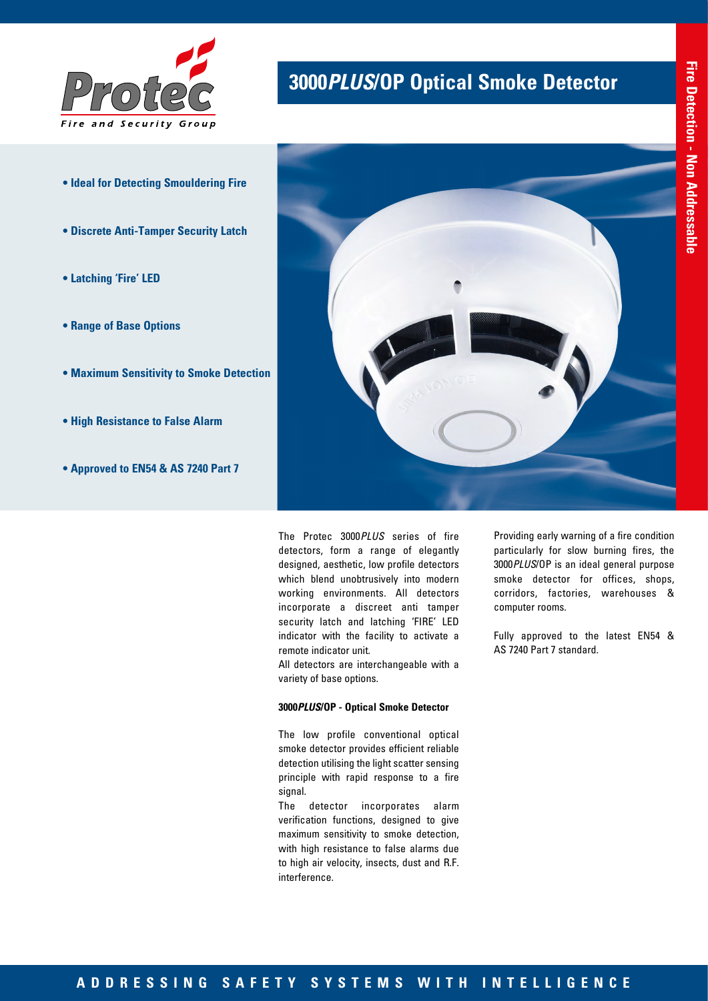

- **Ideal for Detecting Smouldering Fire**
- **Discrete Anti-Tamper Security Latch**
- **Latching 'Fire' LED**
- **Range of Base Options**
- **Maximum Sensitivity to Smoke Detection**
- **High Resistance to False Alarm**
- **Approved to EN54 & AS 7240 Part 7**

# **3000***PLUS***/OP Optical Smoke Detector**



The Protec 3000*PLUS* series of fire detectors, form a range of elegantly designed, aesthetic, low profile detectors which blend unobtrusively into modern working environments. All detectors incorporate a discreet anti tamper security latch and latching 'FIRE' LED indicator with the facility to activate a remote indicator unit.

All detectors are interchangeable with a variety of base options.

#### **3000***PLUS***/OP - Optical Smoke Detector**

The low profile conventional optical smoke detector provides efficient reliable detection utilising the light scatter sensing principle with rapid response to a fire signal.

The detector incorporates alarm verification functions, designed to give maximum sensitivity to smoke detection, with high resistance to false alarms due to high air velocity, insects, dust and R.F. interference.

Providing early warning of a fire condition particularly for slow burning fires, the 3000*PLUS*/OP is an ideal general purpose smoke detector for offices, shops, corridors, factories, warehouses & computer rooms.

Fully approved to the latest EN54 & AS 7240 Part 7 standard.